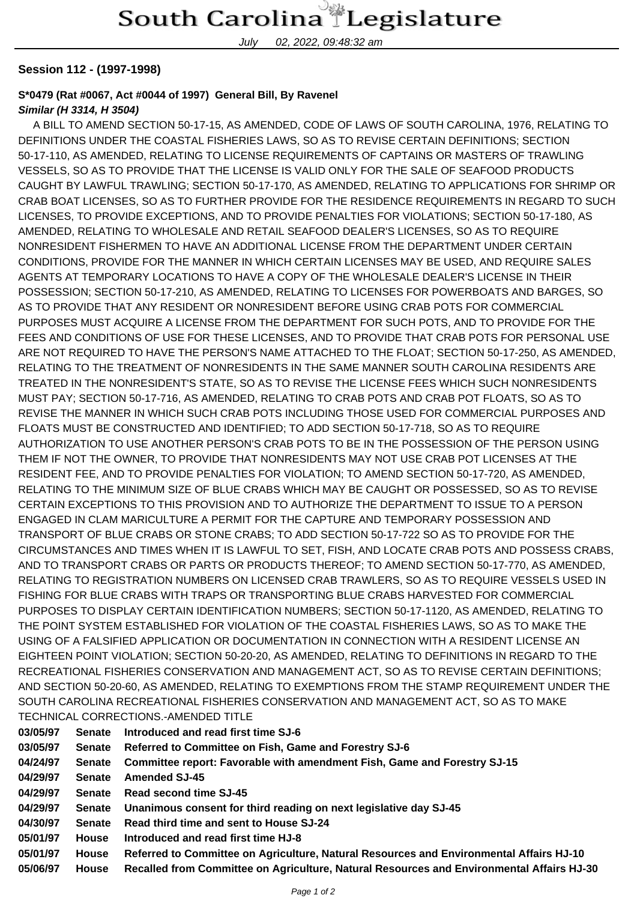July 02, 2022, 09:48:32 am

## **Session 112 - (1997-1998)**

## **S\*0479 (Rat #0067, Act #0044 of 1997) General Bill, By Ravenel**

## **Similar (H 3314, H 3504)**

 A BILL TO AMEND SECTION 50-17-15, AS AMENDED, CODE OF LAWS OF SOUTH CAROLINA, 1976, RELATING TO DEFINITIONS UNDER THE COASTAL FISHERIES LAWS, SO AS TO REVISE CERTAIN DEFINITIONS; SECTION 50-17-110, AS AMENDED, RELATING TO LICENSE REQUIREMENTS OF CAPTAINS OR MASTERS OF TRAWLING VESSELS, SO AS TO PROVIDE THAT THE LICENSE IS VALID ONLY FOR THE SALE OF SEAFOOD PRODUCTS CAUGHT BY LAWFUL TRAWLING; SECTION 50-17-170, AS AMENDED, RELATING TO APPLICATIONS FOR SHRIMP OR CRAB BOAT LICENSES, SO AS TO FURTHER PROVIDE FOR THE RESIDENCE REQUIREMENTS IN REGARD TO SUCH LICENSES, TO PROVIDE EXCEPTIONS, AND TO PROVIDE PENALTIES FOR VIOLATIONS; SECTION 50-17-180, AS AMENDED, RELATING TO WHOLESALE AND RETAIL SEAFOOD DEALER'S LICENSES, SO AS TO REQUIRE NONRESIDENT FISHERMEN TO HAVE AN ADDITIONAL LICENSE FROM THE DEPARTMENT UNDER CERTAIN CONDITIONS, PROVIDE FOR THE MANNER IN WHICH CERTAIN LICENSES MAY BE USED, AND REQUIRE SALES AGENTS AT TEMPORARY LOCATIONS TO HAVE A COPY OF THE WHOLESALE DEALER'S LICENSE IN THEIR POSSESSION; SECTION 50-17-210, AS AMENDED, RELATING TO LICENSES FOR POWERBOATS AND BARGES, SO AS TO PROVIDE THAT ANY RESIDENT OR NONRESIDENT BEFORE USING CRAB POTS FOR COMMERCIAL PURPOSES MUST ACQUIRE A LICENSE FROM THE DEPARTMENT FOR SUCH POTS, AND TO PROVIDE FOR THE FEES AND CONDITIONS OF USE FOR THESE LICENSES, AND TO PROVIDE THAT CRAB POTS FOR PERSONAL USE ARE NOT REQUIRED TO HAVE THE PERSON'S NAME ATTACHED TO THE FLOAT; SECTION 50-17-250, AS AMENDED, RELATING TO THE TREATMENT OF NONRESIDENTS IN THE SAME MANNER SOUTH CAROLINA RESIDENTS ARE TREATED IN THE NONRESIDENT'S STATE, SO AS TO REVISE THE LICENSE FEES WHICH SUCH NONRESIDENTS MUST PAY; SECTION 50-17-716, AS AMENDED, RELATING TO CRAB POTS AND CRAB POT FLOATS, SO AS TO REVISE THE MANNER IN WHICH SUCH CRAB POTS INCLUDING THOSE USED FOR COMMERCIAL PURPOSES AND FLOATS MUST BE CONSTRUCTED AND IDENTIFIED; TO ADD SECTION 50-17-718, SO AS TO REQUIRE AUTHORIZATION TO USE ANOTHER PERSON'S CRAB POTS TO BE IN THE POSSESSION OF THE PERSON USING THEM IF NOT THE OWNER, TO PROVIDE THAT NONRESIDENTS MAY NOT USE CRAB POT LICENSES AT THE RESIDENT FEE, AND TO PROVIDE PENALTIES FOR VIOLATION; TO AMEND SECTION 50-17-720, AS AMENDED, RELATING TO THE MINIMUM SIZE OF BLUE CRABS WHICH MAY BE CAUGHT OR POSSESSED, SO AS TO REVISE CERTAIN EXCEPTIONS TO THIS PROVISION AND TO AUTHORIZE THE DEPARTMENT TO ISSUE TO A PERSON ENGAGED IN CLAM MARICULTURE A PERMIT FOR THE CAPTURE AND TEMPORARY POSSESSION AND TRANSPORT OF BLUE CRABS OR STONE CRABS; TO ADD SECTION 50-17-722 SO AS TO PROVIDE FOR THE CIRCUMSTANCES AND TIMES WHEN IT IS LAWFUL TO SET, FISH, AND LOCATE CRAB POTS AND POSSESS CRABS, AND TO TRANSPORT CRABS OR PARTS OR PRODUCTS THEREOF; TO AMEND SECTION 50-17-770, AS AMENDED, RELATING TO REGISTRATION NUMBERS ON LICENSED CRAB TRAWLERS, SO AS TO REQUIRE VESSELS USED IN FISHING FOR BLUE CRABS WITH TRAPS OR TRANSPORTING BLUE CRABS HARVESTED FOR COMMERCIAL PURPOSES TO DISPLAY CERTAIN IDENTIFICATION NUMBERS; SECTION 50-17-1120, AS AMENDED, RELATING TO THE POINT SYSTEM ESTABLISHED FOR VIOLATION OF THE COASTAL FISHERIES LAWS, SO AS TO MAKE THE USING OF A FALSIFIED APPLICATION OR DOCUMENTATION IN CONNECTION WITH A RESIDENT LICENSE AN EIGHTEEN POINT VIOLATION; SECTION 50-20-20, AS AMENDED, RELATING TO DEFINITIONS IN REGARD TO THE RECREATIONAL FISHERIES CONSERVATION AND MANAGEMENT ACT, SO AS TO REVISE CERTAIN DEFINITIONS; AND SECTION 50-20-60, AS AMENDED, RELATING TO EXEMPTIONS FROM THE STAMP REQUIREMENT UNDER THE SOUTH CAROLINA RECREATIONAL FISHERIES CONSERVATION AND MANAGEMENT ACT, SO AS TO MAKE TECHNICAL CORRECTIONS.-AMENDED TITLE

| 03/05/97 | <b>Senate</b> | Introduced and read first time SJ-6                                                       |
|----------|---------------|-------------------------------------------------------------------------------------------|
| 03/05/97 | <b>Senate</b> | Referred to Committee on Fish, Game and Forestry SJ-6                                     |
| 04/24/97 | <b>Senate</b> | Committee report: Favorable with amendment Fish, Game and Forestry SJ-15                  |
| 04/29/97 | <b>Senate</b> | <b>Amended SJ-45</b>                                                                      |
| 04/29/97 | <b>Senate</b> | Read second time SJ-45                                                                    |
| 04/29/97 | Senate        | Unanimous consent for third reading on next legislative day SJ-45                         |
| 04/30/97 | <b>Senate</b> | Read third time and sent to House SJ-24                                                   |
| 05/01/97 | <b>House</b>  | Introduced and read first time HJ-8                                                       |
| 05/01/97 | House         | Referred to Committee on Agriculture, Natural Resources and Environmental Affairs HJ-10   |
| 05/06/97 | House         | Recalled from Committee on Agriculture, Natural Resources and Environmental Affairs HJ-30 |
|          |               |                                                                                           |